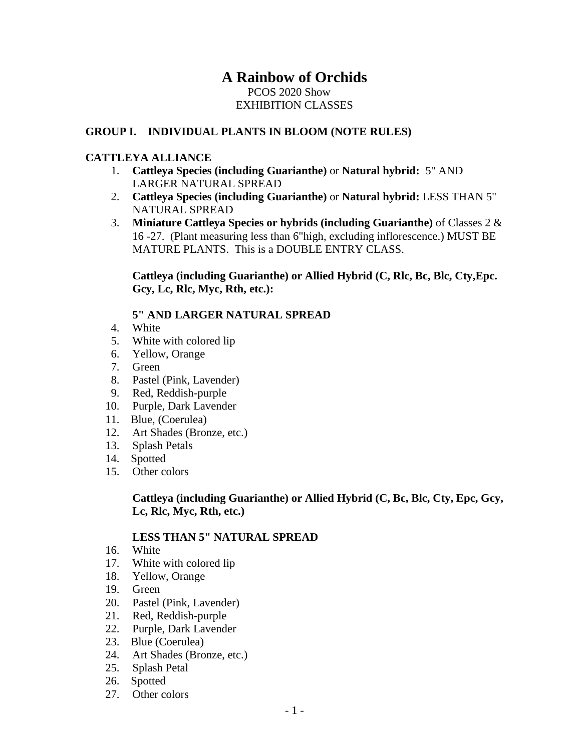# **A Rainbow of Orchids**

## PCOS 2020 Show EXHIBITION CLASSES

## **GROUP I. INDIVIDUAL PLANTS IN BLOOM (NOTE RULES)**

#### **CATTLEYA ALLIANCE**

- 1. **Cattleya Species (including Guarianthe)** or **Natural hybrid:** 5" AND LARGER NATURAL SPREAD
- 2. **Cattleya Species (including Guarianthe)** or **Natural hybrid:** LESS THAN 5" NATURAL SPREAD
- 3. **Miniature Cattleya Species or hybrids (including Guarianthe)** of Classes 2 & 16 -27. (Plant measuring less than 6"high, excluding inflorescence.) MUST BE MATURE PLANTS. This is a DOUBLE ENTRY CLASS.

**Cattleya (including Guarianthe) or Allied Hybrid (C, Rlc, Bc, Blc, Cty,Epc. Gcy, Lc, Rlc, Myc, Rth, etc.):**

# **5" AND LARGER NATURAL SPREAD**

- 4. White
- 5. White with colored lip
- 6. Yellow, Orange
- 7. Green
- 8. Pastel (Pink, Lavender)
- 9. Red, Reddish-purple
- 10. Purple, Dark Lavender
- 11. Blue, (Coerulea)
- 12. Art Shades (Bronze, etc.)
- 13. Splash Petals
- 14. Spotted
- 15. Other colors

## **Cattleya (including Guarianthe) or Allied Hybrid (C, Bc, Blc, Cty, Epc, Gcy, Lc, Rlc, Myc, Rth, etc.)**

#### **LESS THAN 5" NATURAL SPREAD**

- 16. White
- 17. White with colored lip
- 18. Yellow, Orange
- 19. Green
- 20. Pastel (Pink, Lavender)
- 21. Red, Reddish-purple
- 22. Purple, Dark Lavender
- 23. Blue (Coerulea)
- 24. Art Shades (Bronze, etc.)
- 25. Splash Petal
- 26. Spotted
- 27. Other colors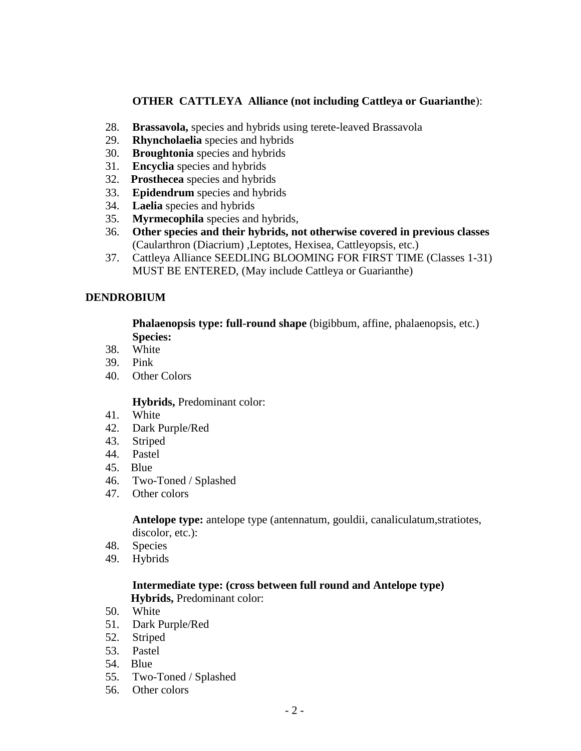## **OTHER CATTLEYA Alliance (not including Cattleya or Guarianthe**):

- 28. **Brassavola,** species and hybrids using terete-leaved Brassavola
- 29. **Rhyncholaelia** species and hybrids
- 30. **Broughtonia** species and hybrids
- 31. **Encyclia** species and hybrids
- 32. **Prosthecea** species and hybrids
- 33. **Epidendrum** species and hybrids
- 34. **Laelia** species and hybrids
- 35. **Myrmecophila** species and hybrids,
- 36. **Other species and their hybrids, not otherwise covered in previous classes** (Caularthron (Diacrium) ,Leptotes, Hexisea, Cattleyopsis, etc.)
- 37. Cattleya Alliance SEEDLING BLOOMING FOR FIRST TIME (Classes 1-31) MUST BE ENTERED, (May include Cattleya or Guarianthe)

## **DENDROBIUM**

**Phalaenopsis type: full-round shape** (bigibbum, affine, phalaenopsis, etc.) **Species:**

- 38. White
- 39. Pink
- 40. Other Colors

#### **Hybrids,** Predominant color:

- 41. White
- 42. Dark Purple/Red
- 43. Striped
- 44. Pastel
- 45. Blue
- 46. Two-Toned / Splashed
- 47. Other colors

**Antelope type:** antelope type (antennatum, gouldii, canaliculatum,stratiotes, discolor, etc.):

- 48. Species
- 49. Hybrids

## **Intermediate type: (cross between full round and Antelope type) Hybrids,** Predominant color:

- 50. White
- 51. Dark Purple/Red
- 52. Striped
- 53. Pastel
- 54. Blue
- 55. Two-Toned / Splashed
- 56. Other colors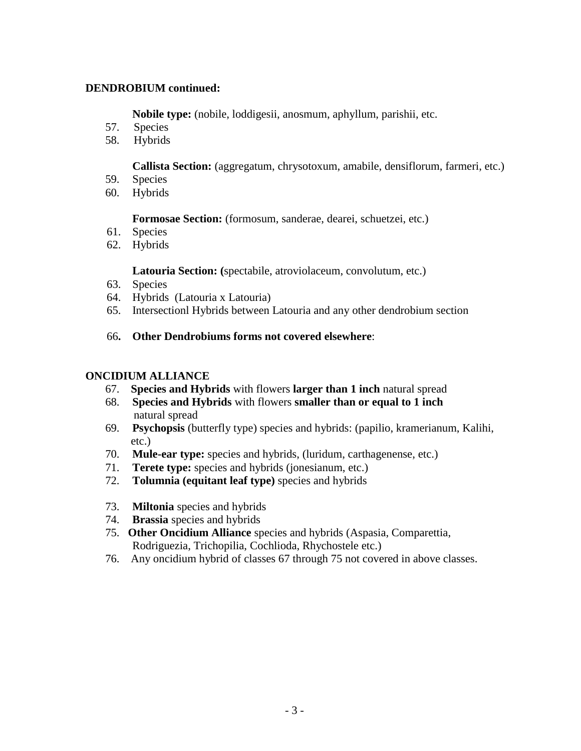#### **DENDROBIUM continued:**

**Nobile type:** (nobile, loddigesii, anosmum, aphyllum, parishii, etc.

- 57. Species
- 58. Hybrids

**Callista Section:** (aggregatum, chrysotoxum, amabile, densiflorum, farmeri, etc.)

- 59. Species
- 60. Hybrids

**Formosae Section:** (formosum, sanderae, dearei, schuetzei, etc.)

- 61. Species
- 62. Hybrids

#### **Latouria Section: (**spectabile, atroviolaceum, convolutum, etc.)

- 63. Species
- 64. Hybrids (Latouria x Latouria)
- 65. Intersectionl Hybrids between Latouria and any other dendrobium section
- 66**. Other Dendrobiums forms not covered elsewhere**:

#### **ONCIDIUM ALLIANCE**

- 67. **Species and Hybrids** with flowers **larger than 1 inch** natural spread
- 68. **Species and Hybrids** with flowers **smaller than or equal to 1 inch** natural spread
- 69. **Psychopsis** (butterfly type) species and hybrids: (papilio, kramerianum, Kalihi, etc.)
- 70. **Mule-ear type:** species and hybrids, (luridum, carthagenense, etc.)
- 71. **Terete type:** species and hybrids (jonesianum, etc.)
- 72. **Tolumnia (equitant leaf type)** species and hybrids
- 73. **Miltonia** species and hybrids
- 74. **Brassia** species and hybrids
- 75. **Other Oncidium Alliance** species and hybrids (Aspasia, Comparettia, Rodriguezia, Trichopilia, Cochlioda, Rhychostele etc.)
- 76. Any oncidium hybrid of classes 67 through 75 not covered in above classes.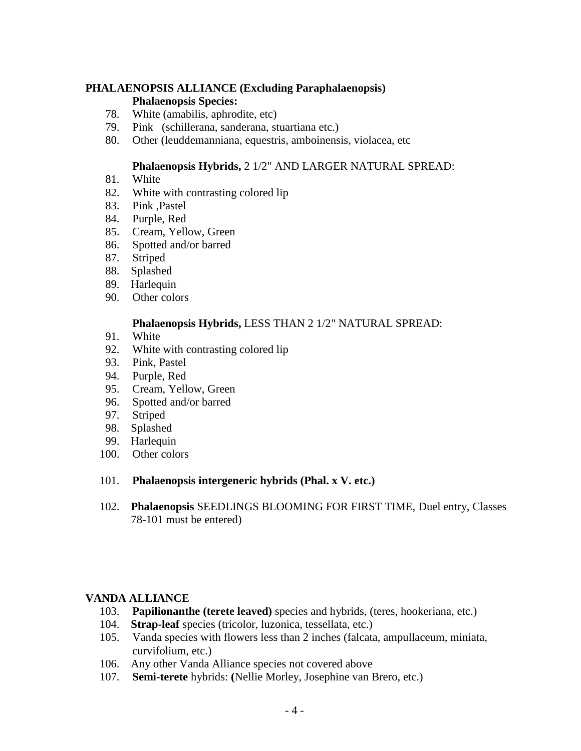## **PHALAENOPSIS ALLIANCE (Excluding Paraphalaenopsis)**

#### **Phalaenopsis Species:**

- 78. White (amabilis, aphrodite, etc)
- 79. Pink (schillerana, sanderana, stuartiana etc.)
- 80. Other (leuddemanniana, equestris, amboinensis, violacea, etc

## **Phalaenopsis Hybrids,** 2 1/2" AND LARGER NATURAL SPREAD:

- 81. White
- 82. White with contrasting colored lip
- 83. Pink ,Pastel
- 84. Purple, Red
- 85. Cream, Yellow, Green
- 86. Spotted and/or barred
- 87. Striped
- 88. Splashed
- 89. Harlequin
- 90. Other colors

## **Phalaenopsis Hybrids,** LESS THAN 2 1/2" NATURAL SPREAD:

- 91. White
- 92. White with contrasting colored lip
- 93. Pink, Pastel
- 94. Purple, Red
- 95. Cream, Yellow, Green
- 96. Spotted and/or barred
- 97. Striped
- 98. Splashed
- 99. Harlequin
- 100. Other colors

#### 101. **Phalaenopsis intergeneric hybrids (Phal. x V. etc.)**

 102. **Phalaenopsis** SEEDLINGS BLOOMING FOR FIRST TIME, Duel entry, Classes 78-101 must be entered)

#### **VANDA ALLIANCE**

- 103. **Papilionanthe (terete leaved)** species and hybrids, (teres, hookeriana, etc.)
- 104. **Strap-leaf** species (tricolor, luzonica, tessellata, etc.)
- 105. Vanda species with flowers less than 2 inches (falcata, ampullaceum, miniata, curvifolium, etc.)
- 106. Any other Vanda Alliance species not covered above
- 107. **Semi-terete** hybrids: **(**Nellie Morley, Josephine van Brero, etc.)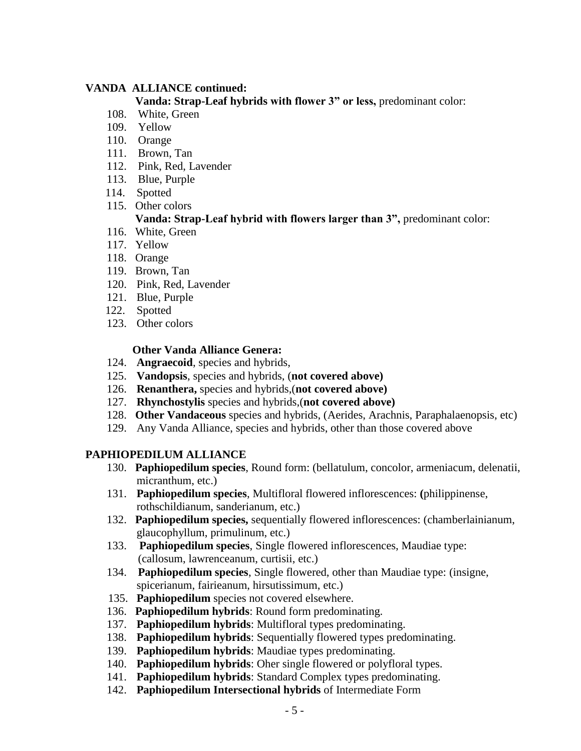## **VANDA ALLIANCE continued:**

#### **Vanda: Strap-Leaf hybrids with flower 3" or less,** predominant color:

- 108. White, Green
- 109. Yellow
- 110. Orange
- 111. Brown, Tan
- 112. Pink, Red, Lavender
- 113. Blue, Purple
- 114. Spotted
- 115. Other colors

# **Vanda: Strap-Leaf hybrid with flowers larger than 3",** predominant color:

- 116. White, Green
- 117. Yellow
- 118. Orange
- 119. Brown, Tan
- 120. Pink, Red, Lavender
- 121. Blue, Purple
- 122. Spotted
- 123. Other colors

## **Other Vanda Alliance Genera:**

- 124. **Angraecoid**, species and hybrids,
- 125. **Vandopsis**, species and hybrids, (**not covered above)**
- 126. **Renanthera,** species and hybrids,(**not covered above)**
- 127. **Rhynchostylis** species and hybrids,(**not covered above)**
- 128. **Other Vandaceous** species and hybrids, (Aerides, Arachnis, Paraphalaenopsis, etc)
- 129. Any Vanda Alliance, species and hybrids, other than those covered above

# **PAPHIOPEDILUM ALLIANCE**

- 130. **Paphiopedilum species**, Round form: (bellatulum, concolor, armeniacum, delenatii, micranthum, etc.)
- 131. **Paphiopedilum species**, Multifloral flowered inflorescences: **(**philippinense, rothschildianum, sanderianum, etc.)
- 132. **Paphiopedilum species,** sequentially flowered inflorescences: (chamberlainianum, glaucophyllum, primulinum, etc.)
- 133. **Paphiopedilum species**, Single flowered inflorescences, Maudiae type: (callosum, lawrenceanum, curtisii, etc.)
- 134. **Paphiopedilum species**, Single flowered, other than Maudiae type: (insigne, spicerianum, fairieanum, hirsutissimum, etc.)
- 135. **Paphiopedilum** species not covered elsewhere.
- 136. **Paphiopedilum hybrids**: Round form predominating.
- 137. **Paphiopedilum hybrids**: Multifloral types predominating.
- 138. **Paphiopedilum hybrids**: Sequentially flowered types predominating.
- 139. **Paphiopedilum hybrids**: Maudiae types predominating.
- 140. **Paphiopedilum hybrids**: Oher single flowered or polyfloral types.
- 141. **Paphiopedilum hybrids**: Standard Complex types predominating.
- 142. **Paphiopedilum Intersectional hybrids** of Intermediate Form